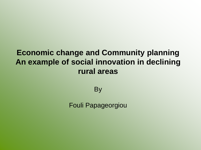# **Economic change and Community planning An example of social innovation in declining rural areas**

**By** 

Fouli Papageorgiou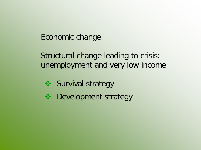Economic change

Structural change leading to crisis: unemployment and very low income

- ❖ Survival strategy
- **❖** Development strategy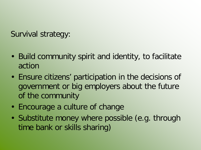Survival strategy:

- Build community spirit and identity, to facilitate action
- Ensure citizens' participation in the decisions of government or big employers about the future of the community
- Encourage a culture of change
- Substitute money where possible (e.g. through time bank or skills sharing)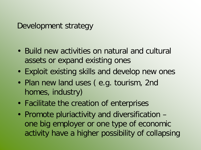Development strategy

- Build new activities on natural and cultural assets or expand existing ones
- Exploit existing skills and develop new ones
- Plan new land uses (e.g. tourism, 2nd homes, industry)
- Facilitate the creation of enterprises
- Promote pluriactivity and diversification one big employer or one type of economic activity have a higher possibility of collapsing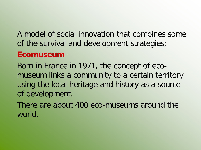A model of social innovation that combines some of the survival and development strategies:

## **Ecomuseum** -

Born in France in 1971, the concept of ecomuseum links a community to a certain territory using the local heritage and history as a source of development.

There are about 400 eco-museums around the world.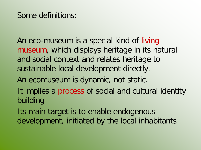### Some definitions:

An eco-museum is a special kind of living museum, which displays heritage in its natural and social context and relates heritage to sustainable local development directly.

An ecomuseum is dynamic, not static.

It implies a process of social and cultural identity building

Its main target is to enable endogenous development, initiated by the local inhabitants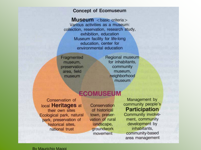### **Concept of Ecomuseum**

**Museum** <basic criteria> Various activities as a museum: collection, reservation, research study, exhibition, education Museum facility for life-long education, center for environmental education

Fragmented museum, preservation area, field museum

Regional museum for inhabitants, community museum, neighborhood museum

### **ECOMUSEUM**

Conservation of local **Heritages** at their own sites Ecological park, natural park, preservation of historical sites, national trust

Conservation of historical town, preservation of rural landscape, groundwork movement

Management by community people's **Participation** 

Community involvement, community development by inhabitants, community-based area management

#### **By Maurichio Maggi**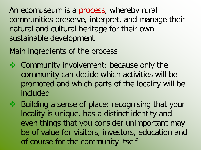An ecomuseum is a process, whereby rural communities preserve, interpret, and manage their natural and cultural heritage for their own sustainable development

Main ingredients of the process

- ❖ Community involvement: because only the community can decide which activities will be promoted and which parts of the locality will be included
- ❖ Building a sense of place: recognising that your locality is unique, has a distinct identity and even things that you consider unimportant may be of value for visitors, investors, education and of course for the community itself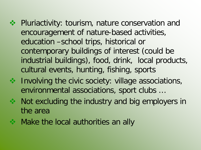- ❖ Pluriactivity: tourism, nature conservation and encouragement of nature-based activities, education –school trips, historical or contemporary buildings of interest (could be industrial buildings), food, drink, local products, cultural events, hunting, fishing, sports
- ❖ Involving the civic society: village associations, environmental associations, sport clubs …
- ◆ Not excluding the industry and big employers in the area
- $\cdot$  Make the local authorities an ally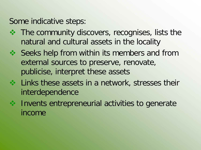Some indicative steps:

- $\triangle$  **The community discovers, recognises, lists the** natural and cultural assets in the locality
- ❖ Seeks help from within its members and from external sources to preserve, renovate, publicise, interpret these assets
- ❖ Links these assets in a network, stresses their interdependence
- ❖ Invents entrepreneurial activities to generate income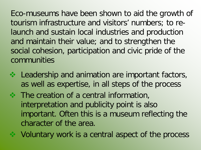Eco-museums have been shown to aid the growth of tourism infrastructure and visitors' numbers; to relaunch and sustain local industries and production and maintain their value; and to strengthen the social cohesion, participation and civic pride of the communities

- ❖ Leadership and animation are important factors, as well as expertise, in all steps of the process
- $\cdot$  The creation of a central information, interpretation and publicity point is also important. Often this is a museum reflecting the character of the area.
- ◆ Voluntary work is a central aspect of the process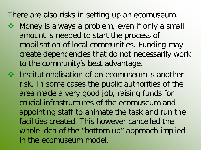There are also risks in setting up an ecomuseum.

- ❖ Money is always a problem, even if only a small amount is needed to start the process of mobilisation of local communities. Funding may create dependencies that do not necessarily work to the community's best advantage.
- ❖ Institutionalisation of an ecomuseum is another risk. In some cases the public authorities of the area made a very good job, raising funds for crucial infrastructures of the ecomuseum and appointing staff to animate the task and run the facilities created. This however cancelled the whole idea of the "bottom up" approach implied in the ecomuseum model.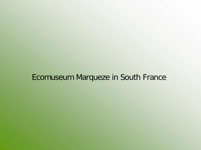## Ecomuseum Marqueze in South France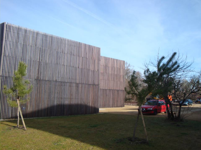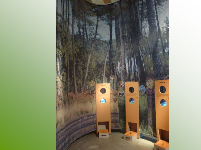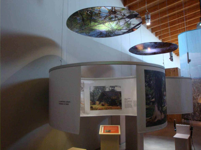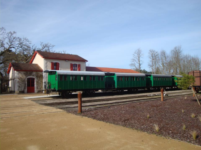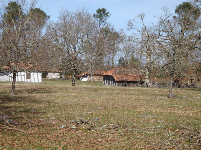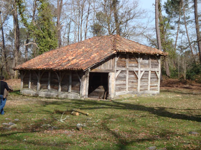